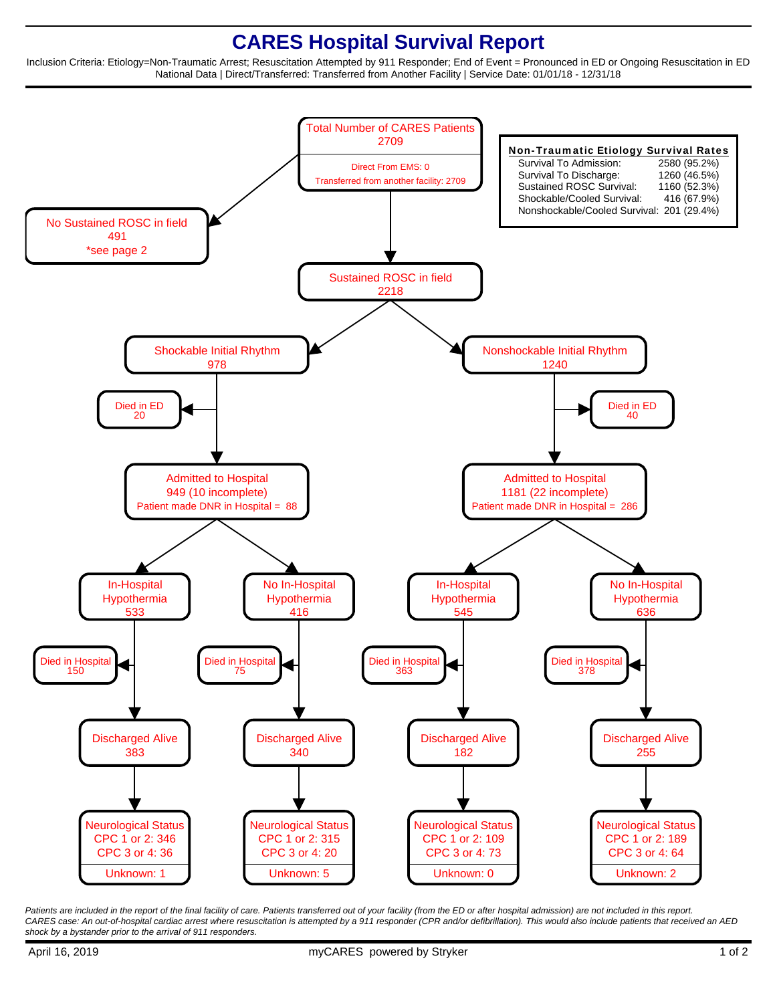## **CARES Hospital Survival Report**

Inclusion Criteria: Etiology=Non-Traumatic Arrest; Resuscitation Attempted by 911 Responder; End of Event = Pronounced in ED or Ongoing Resuscitation in ED National Data | Direct/Transferred: Transferred from Another Facility | Service Date: 01/01/18 - 12/31/18



Patients are included in the report of the final facility of care. Patients transferred out of your facility (from the ED or after hospital admission) are not included in this report. CARES case: An out-of-hospital cardiac arrest where resuscitation is attempted by a 911 responder (CPR and/or defibrillation). This would also include patients that received an AED shock by a bystander prior to the arrival of 911 responders.